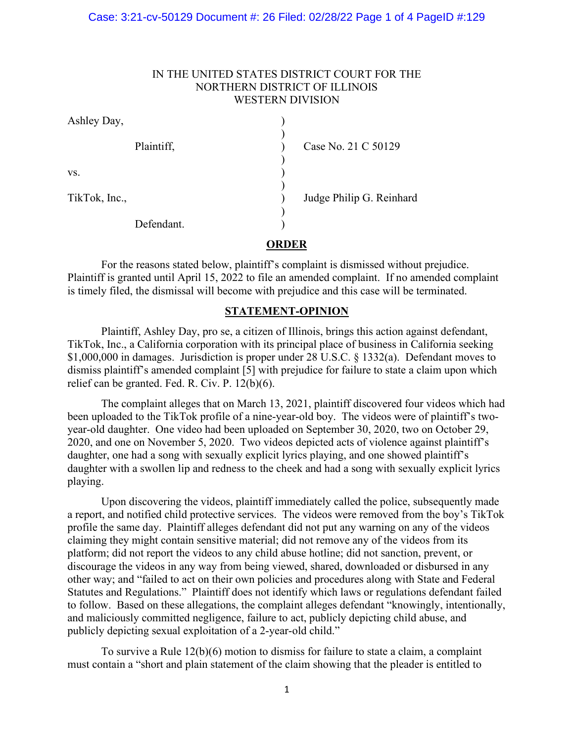### Case: 3:21-cv-50129 Document #: 26 Filed: 02/28/22 Page 1 of 4 PageID #:129

# IN THE UNITED STATES DISTRICT COURT FOR THE NORTHERN DISTRICT OF ILLINOIS WESTERN DIVISION

| Ashley Day,   |                          |
|---------------|--------------------------|
| Plaintiff,    | Case No. 21 C 50129      |
| VS.           |                          |
| TikTok, Inc., | Judge Philip G. Reinhard |
| Defendant.    |                          |

# **ORDER**

For the reasons stated below, plaintiff's complaint is dismissed without prejudice. Plaintiff is granted until April 15, 2022 to file an amended complaint. If no amended complaint is timely filed, the dismissal will become with prejudice and this case will be terminated.

## **STATEMENT-OPINION**

Plaintiff, Ashley Day, pro se, a citizen of Illinois, brings this action against defendant, TikTok, Inc., a California corporation with its principal place of business in California seeking \$1,000,000 in damages. Jurisdiction is proper under 28 U.S.C. § 1332(a). Defendant moves to dismiss plaintiff's amended complaint [5] with prejudice for failure to state a claim upon which relief can be granted. Fed. R. Civ. P. 12(b)(6).

The complaint alleges that on March 13, 2021, plaintiff discovered four videos which had been uploaded to the TikTok profile of a nine-year-old boy. The videos were of plaintiff's twoyear-old daughter. One video had been uploaded on September 30, 2020, two on October 29, 2020, and one on November 5, 2020. Two videos depicted acts of violence against plaintiff's daughter, one had a song with sexually explicit lyrics playing, and one showed plaintiff's daughter with a swollen lip and redness to the cheek and had a song with sexually explicit lyrics playing.

Upon discovering the videos, plaintiff immediately called the police, subsequently made a report, and notified child protective services. The videos were removed from the boy's TikTok profile the same day. Plaintiff alleges defendant did not put any warning on any of the videos claiming they might contain sensitive material; did not remove any of the videos from its platform; did not report the videos to any child abuse hotline; did not sanction, prevent, or discourage the videos in any way from being viewed, shared, downloaded or disbursed in any other way; and "failed to act on their own policies and procedures along with State and Federal Statutes and Regulations." Plaintiff does not identify which laws or regulations defendant failed to follow. Based on these allegations, the complaint alleges defendant "knowingly, intentionally, and maliciously committed negligence, failure to act, publicly depicting child abuse, and publicly depicting sexual exploitation of a 2-year-old child."

To survive a Rule 12(b)(6) motion to dismiss for failure to state a claim, a complaint must contain a "short and plain statement of the claim showing that the pleader is entitled to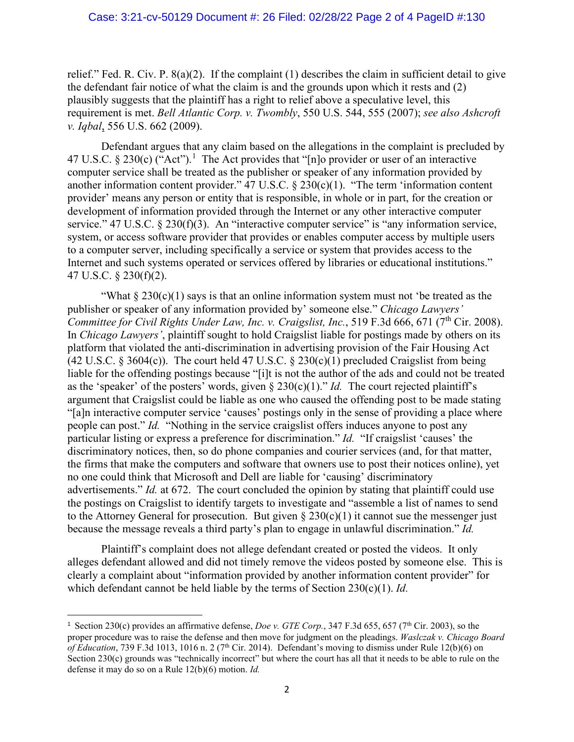### Case: 3:21-cv-50129 Document #: 26 Filed: 02/28/22 Page 2 of 4 PageID #:130

relief." Fed. R. Civ. P. 8(a)(2). If the complaint (1) describes the claim in sufficient detail to give the defendant fair notice of what the claim is and the grounds upon which it rests and (2) plausibly suggests that the plaintiff has a right to relief above a speculative level, this requirement is met. *Bell Atlantic Corp. v. Twombly*, 550 U.S. 544, 555 (2007); *see also Ashcroft v. Iqbal*, 556 U.S. 662 (2009).

Defendant argues that any claim based on the allegations in the complaint is precluded by 47 U.S.C. § 230(c) ("Act").<sup>[1](#page-1-0)</sup> The Act provides that "[n]o provider or user of an interactive computer service shall be treated as the publisher or speaker of any information provided by another information content provider."  $47 \text{ U.S.C.} \& 230 \text{(c)}(1)$ . "The term 'information content provider' means any person or entity that is responsible, in whole or in part, for the creation or development of information provided through the Internet or any other interactive computer service." 47 U.S.C. § 230(f)(3). An "interactive computer service" is "any information service, system, or access software provider that provides or enables computer access by multiple users to a computer server, including specifically a service or system that provides access to the Internet and such systems operated or services offered by libraries or educational institutions." 47 U.S.C. § 230(f)(2).

"What  $\S 230(c)(1)$  says is that an online information system must not 'be treated as the publisher or speaker of any information provided by' someone else." *Chicago Lawyers' Committee for Civil Rights Under Law, Inc. v. Craigslist, Inc.*, 519 F.3d 666, 671 (7<sup>th</sup> Cir. 2008). In *Chicago Lawyers'*, plaintiff sought to hold Craigslist liable for postings made by others on its platform that violated the anti-discrimination in advertising provision of the Fair Housing Act (42 U.S.C. § 3604(c)). The court held 47 U.S.C. § 230(c)(1) precluded Craigslist from being liable for the offending postings because "[i]t is not the author of the ads and could not be treated as the 'speaker' of the posters' words, given  $\S 230(c)(1)$ ." *Id.* The court rejected plaintiff's argument that Craigslist could be liable as one who caused the offending post to be made stating "[a]n interactive computer service 'causes' postings only in the sense of providing a place where people can post." *Id.* "Nothing in the service craigslist offers induces anyone to post any particular listing or express a preference for discrimination." *Id.* "If craigslist 'causes' the discriminatory notices, then, so do phone companies and courier services (and, for that matter, the firms that make the computers and software that owners use to post their notices online), yet no one could think that Microsoft and Dell are liable for 'causing' discriminatory advertisements." *Id.* at 672. The court concluded the opinion by stating that plaintiff could use the postings on Craigslist to identify targets to investigate and "assemble a list of names to send to the Attorney General for prosecution. But given  $\S 230(c)(1)$  it cannot sue the messenger just because the message reveals a third party's plan to engage in unlawful discrimination." *Id.*

Plaintiff's complaint does not allege defendant created or posted the videos. It only alleges defendant allowed and did not timely remove the videos posted by someone else. This is clearly a complaint about "information provided by another information content provider" for which defendant cannot be held liable by the terms of Section 230(c)(1). *Id.*

<span id="page-1-0"></span><sup>&</sup>lt;sup>1</sup> Section 230(c) provides an affirmative defense, *Doe v. GTE Corp.*, 347 F.3d 655, 657 (7<sup>th</sup> Cir. 2003), so the proper procedure was to raise the defense and then move for judgment on the pleadings. *Waslczak v. Chicago Board of Education*, 739 F.3d 1013, 1016 n. 2 (7<sup>th</sup> Cir. 2014). Defendant's moving to dismiss under Rule 12(b)(6) on Section 230(c) grounds was "technically incorrect" but where the court has all that it needs to be able to rule on the defense it may do so on a Rule 12(b)(6) motion. *Id.*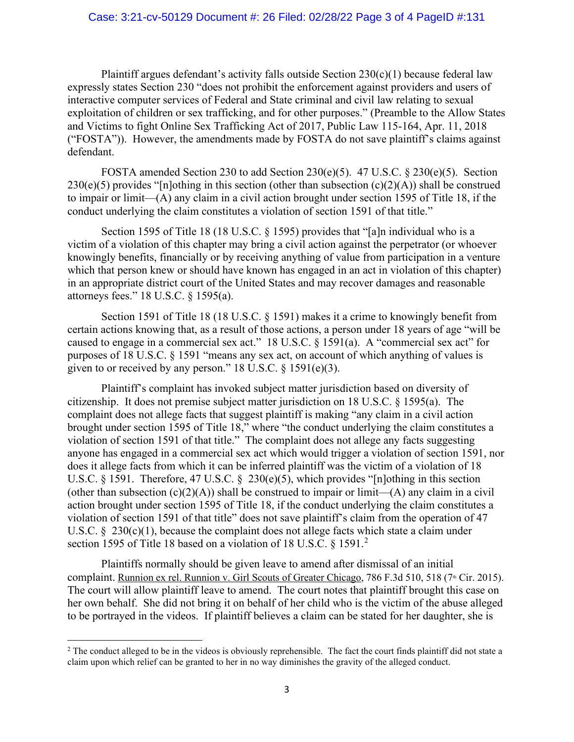### Case: 3:21-cv-50129 Document #: 26 Filed: 02/28/22 Page 3 of 4 PageID #:131

Plaintiff argues defendant's activity falls outside Section  $230(c)(1)$  because federal law expressly states Section 230 "does not prohibit the enforcement against providers and users of interactive computer services of Federal and State criminal and civil law relating to sexual exploitation of children or sex trafficking, and for other purposes." (Preamble to the Allow States and Victims to fight Online Sex Trafficking Act of 2017, Public Law 115-164, Apr. 11, 2018 ("FOSTA")). However, the amendments made by FOSTA do not save plaintiff's claims against defendant.

FOSTA amended Section 230 to add Section 230(e)(5). 47 U.S.C.  $\S$  230(e)(5). Section  $230(e)(5)$  provides "[n]othing in this section (other than subsection (c)(2)(A)) shall be construed to impair or limit—(A) any claim in a civil action brought under section 1595 of Title 18, if the conduct underlying the claim constitutes a violation of section 1591 of that title."

Section 1595 of Title 18 (18 U.S.C. § 1595) provides that "[a]n individual who is a victim of a violation of this chapter may bring a civil action against the perpetrator (or whoever knowingly benefits, financially or by receiving anything of value from participation in a venture which that person knew or should have known has engaged in an act in violation of this chapter) in an appropriate district court of the United States and may recover damages and reasonable attorneys fees." 18 U.S.C. § 1595(a).

Section 1591 of Title 18 (18 U.S.C. § 1591) makes it a crime to knowingly benefit from certain actions knowing that, as a result of those actions, a person under 18 years of age "will be caused to engage in a commercial sex act." 18 U.S.C.  $\S$  1591(a). A "commercial sex act" for purposes of 18 U.S.C. § 1591 "means any sex act, on account of which anything of values is given to or received by any person." 18 U.S.C. § 1591(e)(3).

Plaintiff's complaint has invoked subject matter jurisdiction based on diversity of citizenship. It does not premise subject matter jurisdiction on 18 U.S.C. § 1595(a). The complaint does not allege facts that suggest plaintiff is making "any claim in a civil action brought under section 1595 of Title 18," where "the conduct underlying the claim constitutes a violation of section 1591 of that title." The complaint does not allege any facts suggesting anyone has engaged in a commercial sex act which would trigger a violation of section 1591, nor does it allege facts from which it can be inferred plaintiff was the victim of a violation of 18 U.S.C. § 1591. Therefore, 47 U.S.C. § 230(e)(5), which provides "[n]othing in this section (other than subsection  $(c)(2)(A)$ ) shall be construed to impair or limit— $(A)$  any claim in a civil action brought under section 1595 of Title 18, if the conduct underlying the claim constitutes a violation of section 1591 of that title" does not save plaintiff's claim from the operation of 47 U.S.C.  $\S$  230(c)(1), because the complaint does not allege facts which state a claim under section 1595 of Title 18 based on a violation of 18 U.S.C. § 1591.<sup>[2](#page-2-0)</sup>

Plaintiffs normally should be given leave to amend after dismissal of an initial complaint. Runnion ex rel. Runnion v. Girl Scouts of Greater Chicago, 786 F.3d 510, 518 (7<sup>th</sup> Cir. 2015). The court will allow plaintiff leave to amend. The court notes that plaintiff brought this case on her own behalf. She did not bring it on behalf of her child who is the victim of the abuse alleged to be portrayed in the videos. If plaintiff believes a claim can be stated for her daughter, she is

<span id="page-2-0"></span> $2$  The conduct alleged to be in the videos is obviously reprehensible. The fact the court finds plaintiff did not state a claim upon which relief can be granted to her in no way diminishes the gravity of the alleged conduct.